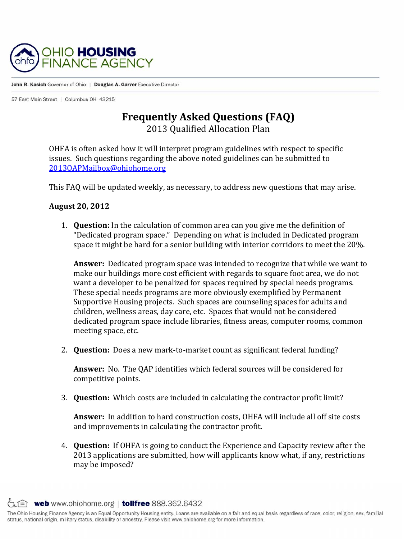

John R. Kasich Governor of Ohio | Douglas A. Garver Executive Director

57 East Main Street | Columbus OH 43215

## **Frequently Asked Questions (FAQ)**

2013 Qualified Allocation Plan 

OHFA is often asked how it will interpret program guidelines with respect to specific issues. Such questions regarding the above noted guidelines can be submitted to 2013QAPMailbox@ohiohome.org

This FAQ will be updated weekly, as necessary, to address new questions that may arise.

## **August 20, 2012**

1. **Question:** In the calculation of common area can you give me the definition of "Dedicated program space." Depending on what is included in Dedicated program space it might be hard for a senior building with interior corridors to meet the  $20\%$ .

**Answer:** Dedicated program space was intended to recognize that while we want to make our buildings more cost efficient with regards to square foot area, we do not want a developer to be penalized for spaces required by special needs programs. These special needs programs are more obviously exemplified by Permanent Supportive Housing projects. Such spaces are counseling spaces for adults and children, wellness areas, day care, etc. Spaces that would not be considered dedicated program space include libraries, fitness areas, computer rooms, common meeting space, etc.

2. **Question:** Does a new mark-to-market count as significant federal funding?

**Answer:** No. The OAP identifies which federal sources will be considered for competitive points.

3. **Question:** Which costs are included in calculating the contractor profit limit?

**Answer:** In addition to hard construction costs, OHFA will include all off site costs and improvements in calculating the contractor profit.

4. **Question:** If OHFA is going to conduct the Experience and Capacity review after the 2013 applications are submitted, how will applicants know what, if any, restrictions may be imposed?

 $\zeta$   $\equiv$  web www.ohiohome.org | tollfree 888.362.6432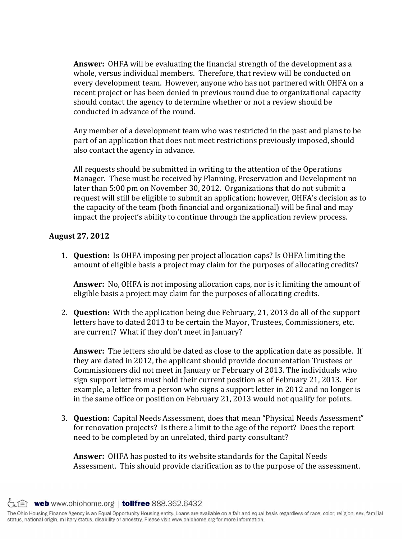**Answer:** OHFA will be evaluating the financial strength of the development as a whole, versus individual members. Therefore, that review will be conducted on every development team. However, anyone who has not partnered with OHFA on a recent project or has been denied in previous round due to organizational capacity should contact the agency to determine whether or not a review should be conducted in advance of the round.

Any member of a development team who was restricted in the past and plans to be part of an application that does not meet restrictions previously imposed, should also contact the agency in advance.

All requests should be submitted in writing to the attention of the Operations Manager. These must be received by Planning, Preservation and Development no later than 5:00 pm on November 30, 2012. Organizations that do not submit a request will still be eligible to submit an application; however, OHFA's decision as to the capacity of the team (both financial and organizational) will be final and may impact the project's ability to continue through the application review process.

## **August 27, 2012**

1. **Question:** Is OHFA imposing per project allocation caps? Is OHFA limiting the amount of eligible basis a project may claim for the purposes of allocating credits?

**Answer:** No, OHFA is not imposing allocation caps, nor is it limiting the amount of eligible basis a project may claim for the purposes of allocating credits.

2. **Question:** With the application being due February, 21, 2013 do all of the support letters have to dated 2013 to be certain the Mayor, Trustees, Commissioners, etc. are current? What if they don't meet in January?

**Answer:** The letters should be dated as close to the application date as possible. If they are dated in 2012, the applicant should provide documentation Trustees or Commissioners did not meet in January or February of 2013. The individuals who sign support letters must hold their current position as of February 21, 2013. For example, a letter from a person who signs a support letter in 2012 and no longer is in the same office or position on February 21, 2013 would not qualify for points.

3. **Ouestion:** Capital Needs Assessment, does that mean "Physical Needs Assessment" for renovation projects? Is there a limit to the age of the report? Does the report need to be completed by an unrelated, third party consultant?

**Answer:** OHFA has posted to its website standards for the Capital Needs Assessment. This should provide clarification as to the purpose of the assessment.

 $\circlearrowright$  web www.ohiohome.org | tollfree 888.362.6432